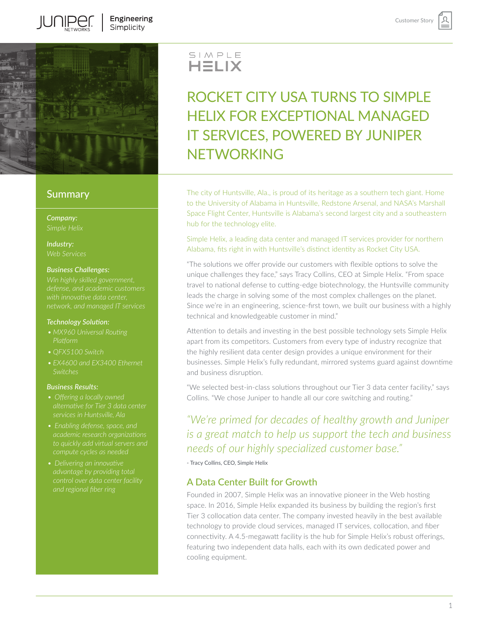

IUN IIPEI

### **Summary**

*Company:*

*Industry:*

### *Business Challenges:*

*Win highly skilled government,* 

### *Technology Solution:*

- *• MX960 Universal Routing Platform*
- 
- *• EX4600 and EX3400 Ethernet*

### *Business Results:*

- *• Offering a locally owned*
- 
- *• Delivering an innovative*

# SIMPLE<br>**HELIX**

## ROCKET CITY USA TURNS TO SIMPLE HELIX FOR EXCEPTIONAL MANAGED IT SERVICES, POWERED BY JUNIPER NETWORKING

The city of Huntsville, Ala., is proud of its heritage as a southern tech giant. Home to the University of Alabama in Huntsville, Redstone Arsenal, and NASA's Marshall Space Flight Center, Huntsville is Alabama's second largest city and a southeastern hub for the technology elite.

Simple Helix, a leading data center and managed IT services provider for northern Alabama, fits right in with Huntsville's distinct identity as Rocket City USA.

"The solutions we offer provide our customers with flexible options to solve the unique challenges they face," says Tracy Collins, CEO at Simple Helix. "From space travel to national defense to cutting-edge biotechnology, the Huntsville community leads the charge in solving some of the most complex challenges on the planet. Since we're in an engineering, science-first town, we built our business with a highly technical and knowledgeable customer in mind."

Attention to details and investing in the best possible technology sets Simple Helix apart from its competitors. Customers from every type of industry recognize that the highly resilient data center design provides a unique environment for their businesses. Simple Helix's fully redundant, mirrored systems guard against downtime and business disruption.

"We selected best-in-class solutions throughout our Tier 3 data center facility," says Collins. "We chose Juniper to handle all our core switching and routing."

### *"We're primed for decades of healthy growth and Juniper is a great match to help us support the tech and business needs of our highly specialized customer base."*

- Tracy Collins, CEO, Simple Helix

### A Data Center Built for Growth

Founded in 2007, Simple Helix was an innovative pioneer in the Web hosting space. In 2016, Simple Helix expanded its business by building the region's first Tier 3 collocation data center. The company invested heavily in the best available technology to provide cloud services, managed IT services, collocation, and fiber connectivity. A 4.5-megawatt facility is the hub for Simple Helix's robust offerings, featuring two independent data halls, each with its own dedicated power and cooling equipment.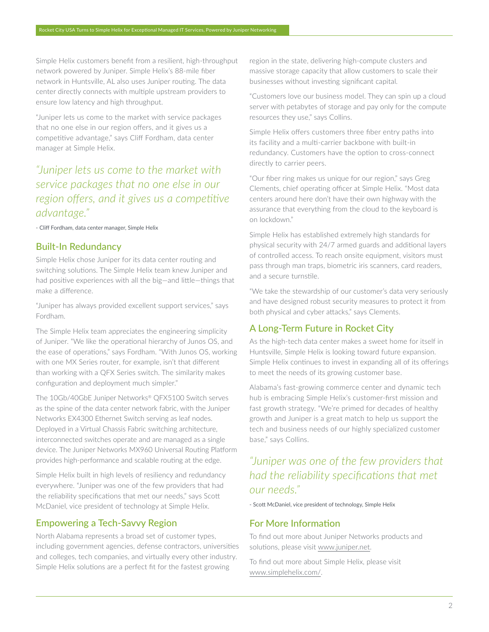Simple Helix customers benefit from a resilient, high-throughput network powered by Juniper. Simple Helix's 88-mile fiber network in Huntsville, AL also uses Juniper routing. The data center directly connects with multiple upstream providers to ensure low latency and high throughput.

"Juniper lets us come to the market with service packages that no one else in our region offers, and it gives us a competitive advantage," says Cliff Fordham, data center manager at Simple Helix.

### *"Juniper lets us come to the market with service packages that no one else in our region offers, and it gives us a competitive advantage."*

- Cliff Fordham, data center manager, Simple Helix

### Built-In Redundancy

Simple Helix chose Juniper for its data center routing and switching solutions. The Simple Helix team knew Juniper and had positive experiences with all the big—and little—things that make a difference.

"Juniper has always provided excellent support services," says Fordham.

The Simple Helix team appreciates the engineering simplicity of Juniper. "We like the operational hierarchy of Junos OS, and the ease of operations," says Fordham. "With Junos OS, working with one MX Series router, for example, isn't that different than working with a QFX Series switch. The similarity makes configuration and deployment much simpler."

The 10Gb/40GbE Juniper Networks® QFX5100 Switch serves as the spine of the data center network fabric, with the Juniper Networks EX4300 Ethernet Switch serving as leaf nodes. Deployed in a Virtual Chassis Fabric switching architecture, interconnected switches operate and are managed as a single device. The Juniper Networks MX960 Universal Routing Platform provides high-performance and scalable routing at the edge.

Simple Helix built in high levels of resiliency and redundancy everywhere. "Juniper was one of the few providers that had the reliability specifications that met our needs," says Scott McDaniel, vice president of technology at Simple Helix.

### Empowering a Tech-Savvy Region

North Alabama represents a broad set of customer types, including government agencies, defense contractors, universities and colleges, tech companies, and virtually every other industry. Simple Helix solutions are a perfect fit for the fastest growing

region in the state, delivering high-compute clusters and massive storage capacity that allow customers to scale their businesses without investing significant capital.

"Customers love our business model. They can spin up a cloud server with petabytes of storage and pay only for the compute resources they use," says Collins.

Simple Helix offers customers three fiber entry paths into its facility and a multi-carrier backbone with built-in redundancy. Customers have the option to cross-connect directly to carrier peers.

"Our fiber ring makes us unique for our region," says Greg Clements, chief operating officer at Simple Helix. "Most data centers around here don't have their own highway with the assurance that everything from the cloud to the keyboard is on lockdown."

Simple Helix has established extremely high standards for physical security with 24/7 armed guards and additional layers of controlled access. To reach onsite equipment, visitors must pass through man traps, biometric iris scanners, card readers, and a secure turnstile.

"We take the stewardship of our customer's data very seriously and have designed robust security measures to protect it from both physical and cyber attacks," says Clements.

### A Long-Term Future in Rocket City

As the high-tech data center makes a sweet home for itself in Huntsville, Simple Helix is looking toward future expansion. Simple Helix continues to invest in expanding all of its offerings to meet the needs of its growing customer base.

Alabama's fast-growing commerce center and dynamic tech hub is embracing Simple Helix's customer-first mission and fast growth strategy. "We're primed for decades of healthy growth and Juniper is a great match to help us support the tech and business needs of our highly specialized customer base," says Collins.

*"Juniper was one of the few providers that had the reliability specifications that met our needs."* 

- Scott McDaniel, vice president of technology, Simple Helix

### For More Information

To find out more about Juniper Networks products and solutions, please visit [www.juniper.net](http://www.juniper.net).

To find out more about Simple Helix, please visit [www.simplehelix.com/](https://www.simplehelix.com/).